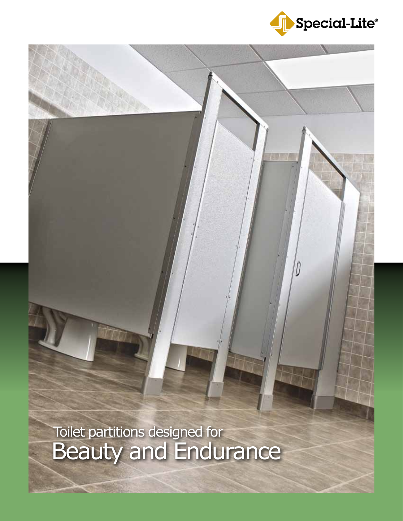

Beauty and Endurance Toilet partitions designed for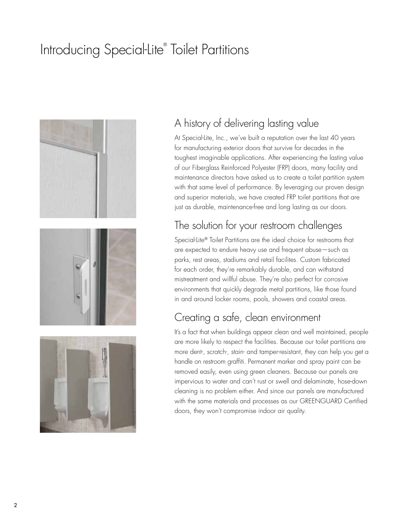# Introducing Special-Lite® Toilet Partitions



#### A history of delivering lasting value

At Special-Lite, Inc., we've built a reputation over the last 40 years for manufacturing exterior doors that survive for decades in the toughest imaginable applications. After experiencing the lasting value of our Fiberglass Reinforced Polyester (FRP) doors, many facility and maintenance directors have asked us to create a toilet partition system with that same level of performance. By leveraging our proven design and superior materials, we have created FRP toilet partitions that are just as durable, maintenance-free and long lasting as our doors.

### The solution for your restroom challenges

Special-Lite® Toilet Partitions are the ideal choice for restrooms that are expected to endure heavy use and frequent abuse—such as parks, rest areas, stadiums and retail facilites. Custom fabricated for each order, they're remarkably durable, and can withstand mistreatment and willful abuse. They're also perfect for corrosive environments that quickly degrade metal partitions, like those found in and around locker rooms, pools, showers and coastal areas.

#### Creating a safe, clean environment

It's a fact that when buildings appear clean and well maintained, people are more likely to respect the facilities. Because our toilet partitions are more dent-, scratch-, stain- and tamper-resistant, they can help you get a handle on restroom graffiti. Permanent marker and spray paint can be removed easily, even using green cleaners. Because our panels are impervious to water and can't rust or swell and delaminate, hose-down cleaning is no problem either. And since our panels are manufactured with the same materials and processes as our GREENGUARD Certified doors, they won't compromise indoor air quality.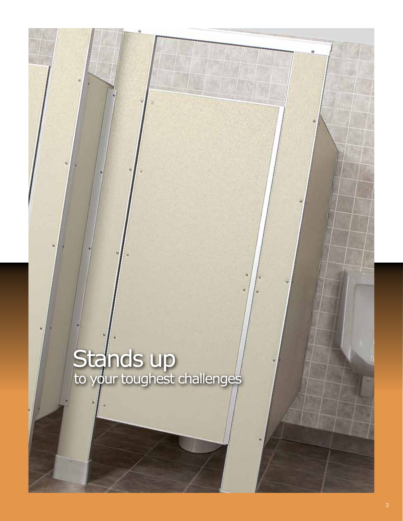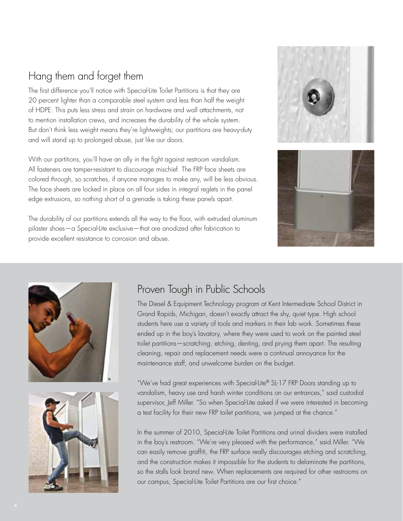### Hang them and forget them

The first difference you'll notice with Special-Lite Toilet Partitions is that they are 20 percent lighter than a comparable steel system and less than half the weight of HDPE. This puts less stress and strain on hardware and wall attachments, not to mention installation crews, and increases the durability of the whole system. But don't think less weight means they're lightweights; our partitions are heavy-duty and will stand up to prolonged abuse, just like our doors.

With our partitions, you'll have an ally in the fight against restroom vandalism. All fasteners are tamper-resistant to discourage mischief. The FRP face sheets are colored through, so scratches, if anyone manages to make any, will be less obvious. The face sheets are locked in place on all four sides in integral reglets in the panel edge extrusions, so nothing short of a grenade is taking these panels apart.

The durability of our partitions extends all the way to the floor, with extruded aluminum pilaster shoes—a Special-Lite exclusive—that are anodized after fabrication to provide excellent resistance to corrosion and abuse.







### Proven Tough in Public Schools

The Diesel & Equipment Technology program at Kent Intermediate School District in Grand Rapids, Michigan, doesn't exactly attract the shy, quiet type. High school students here use a variety of tools and markers in their lab work. Sometimes these ended up in the boy's lavatory, where they were used to work on the painted steel toilet partitions—scratching, etching, denting, and prying them apart. The resulting cleaning, repair and replacement needs were a continual annoyance for the maintenance staff, and unwelcome burden on the budget.

"We've had great experiences with Special-Lite® SL-17 FRP Doors standing up to vandalism, heavy use and harsh winter conditions on our entrances," said custodial supervisor, Jeff Miller. "So when Special-Lite asked if we were interested in becoming a test facility for their new FRP toilet partitions, we jumped at the chance."

In the summer of 2010, Special-Lite Toilet Partitions and urinal dividers were installed in the boy's restroom. "We're very pleased with the performance," said Miller. "We can easily remove graffiti, the FRP surface really discourages etching and scratching, and the construction makes it impossible for the students to delaminate the partitions, so the stalls look brand new. When replacements are required for other restrooms on our campus, Special-Lite Toilet Partitions are our first choice."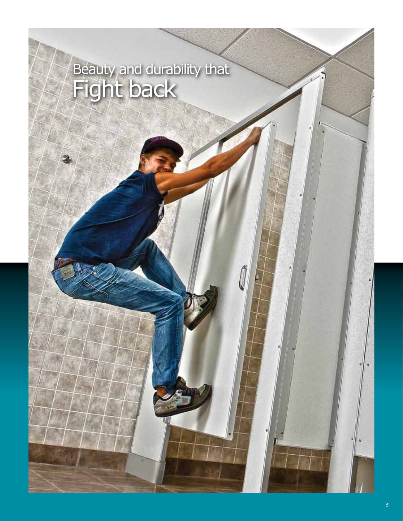# Fight back Beauty and durability that

Í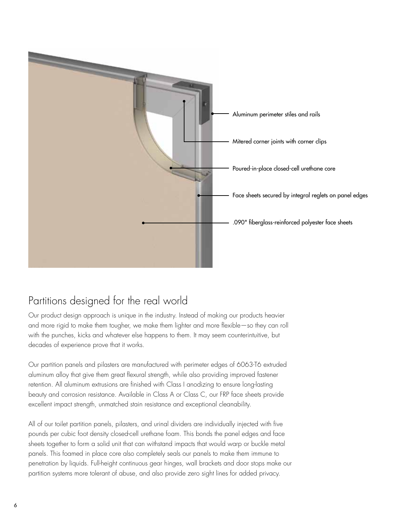

### Partitions designed for the real world

Our product design approach is unique in the industry. Instead of making our products heavier and more rigid to make them tougher, we make them lighter and more flexible—so they can roll with the punches, kicks and whatever else happens to them. It may seem counterintuitive, but decades of experience prove that it works.

Our partition panels and pilasters are manufactured with perimeter edges of 6063-T6 extruded aluminum alloy that give them great flexural strength, while also providing improved fastener retention. All aluminum extrusions are finished with Class I anodizing to ensure long-lasting beauty and corrosion resistance. Available in Class A or Class C, our FRP face sheets provide excellent impact strength, unmatched stain resistance and exceptional cleanability.

All of our toilet partition panels, pilasters, and urinal dividers are individually injected with five pounds per cubic foot density closed-cell urethane foam. This bonds the panel edges and face sheets together to form a solid unit that can withstand impacts that would warp or buckle metal panels. This foamed in place core also completely seals our panels to make them immune to penetration by liquids. Full-height continuous gear hinges, wall brackets and door stops make our partition systems more tolerant of abuse, and also provide zero sight lines for added privacy.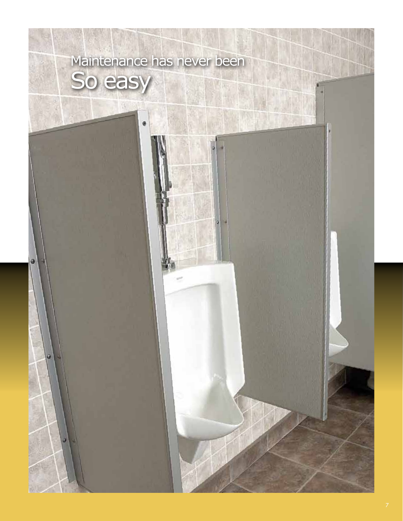